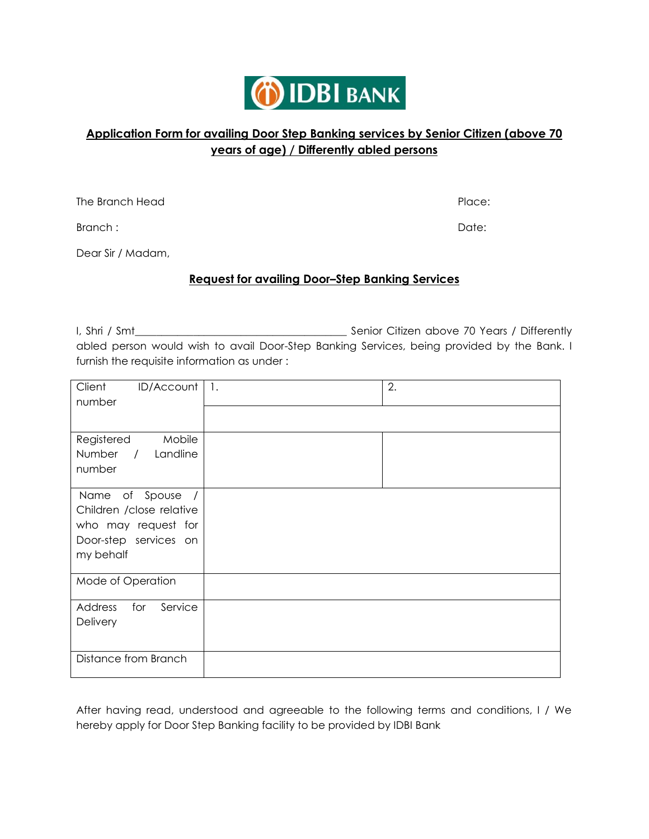

# **Application Form for availing Door Step Banking services by Senior Citizen (above 70 years of age) / Differently abled persons**

The Branch Head Place: The Branch Head Place:

Branch : Date:

Dear Sir / Madam,

#### **Request for availing Door–Step Banking Services**

I, Shri / Smt\_\_\_\_\_\_\_\_\_\_\_\_\_\_\_\_\_\_\_\_\_\_\_\_\_\_\_\_\_\_\_\_\_\_\_\_\_\_\_\_ Senior Citizen above 70 Years / Differently abled person would wish to avail Door-Step Banking Services, being provided by the Bank. I furnish the requisite information as under :

| Client<br>ID/Account<br>number                                                                           | $\mathbf{1}$ . | 2. |
|----------------------------------------------------------------------------------------------------------|----------------|----|
| Registered<br>Mobile<br>Number<br>/ Landline<br>number                                                   |                |    |
| Name of Spouse<br>Children / close relative<br>who may request for<br>Door-step services on<br>my behalf |                |    |
| Mode of Operation                                                                                        |                |    |
| Service<br>for<br>Address<br>Delivery                                                                    |                |    |
| Distance from Branch                                                                                     |                |    |

After having read, understood and agreeable to the following terms and conditions, I / We hereby apply for Door Step Banking facility to be provided by IDBI Bank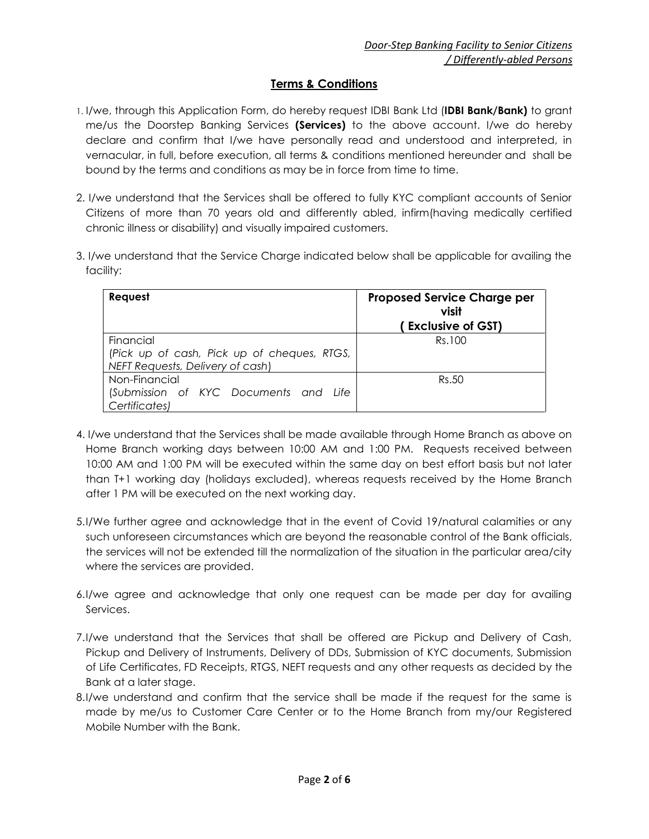## **Terms & Conditions**

- 1. I/we, through this Application Form, do hereby request IDBI Bank Ltd (**IDBI Bank/Bank)** to grant me/us the Doorstep Banking Services **(Services)** to the above account. I/we do hereby declare and confirm that I/we have personally read and understood and interpreted, in vernacular, in full, before execution, all terms & conditions mentioned hereunder and shall be bound by the terms and conditions as may be in force from time to time.
- 2. I/we understand that the Services shall be offered to fully KYC compliant accounts of Senior Citizens of more than 70 years old and differently abled, infirm(having medically certified chronic illness or disability) and visually impaired customers.
- 3. I/we understand that the Service Charge indicated below shall be applicable for availing the facility:

| Request                                                                                      | <b>Proposed Service Charge per</b><br>visit<br><b>Exclusive of GST)</b> |
|----------------------------------------------------------------------------------------------|-------------------------------------------------------------------------|
| Financial<br>(Pick up of cash, Pick up of cheques, RTGS,<br>NEFT Requests, Delivery of cash) | Rs.100                                                                  |
| Non-Financial<br>(Submission of KYC Documents and Life<br>Certificates)                      | Rs.50                                                                   |

- 4. I/we understand that the Services shall be made available through Home Branch as above on Home Branch working days between 10:00 AM and 1:00 PM. Requests received between 10:00 AM and 1:00 PM will be executed within the same day on best effort basis but not later than T+1 working day (holidays excluded), whereas requests received by the Home Branch after 1 PM will be executed on the next working day.
- 5.I/We further agree and acknowledge that in the event of Covid 19/natural calamities or any such unforeseen circumstances which are beyond the reasonable control of the Bank officials, the services will not be extended till the normalization of the situation in the particular area/city where the services are provided.
- 6.I/we agree and acknowledge that only one request can be made per day for availing Services.
- 7.I/we understand that the Services that shall be offered are Pickup and Delivery of Cash, Pickup and Delivery of Instruments, Delivery of DDs, Submission of KYC documents, Submission of Life Certificates, FD Receipts, RTGS, NEFT requests and any other requests as decided by the Bank at a later stage.
- 8.I/we understand and confirm that the service shall be made if the request for the same is made by me/us to Customer Care Center or to the Home Branch from my/our Registered Mobile Number with the Bank.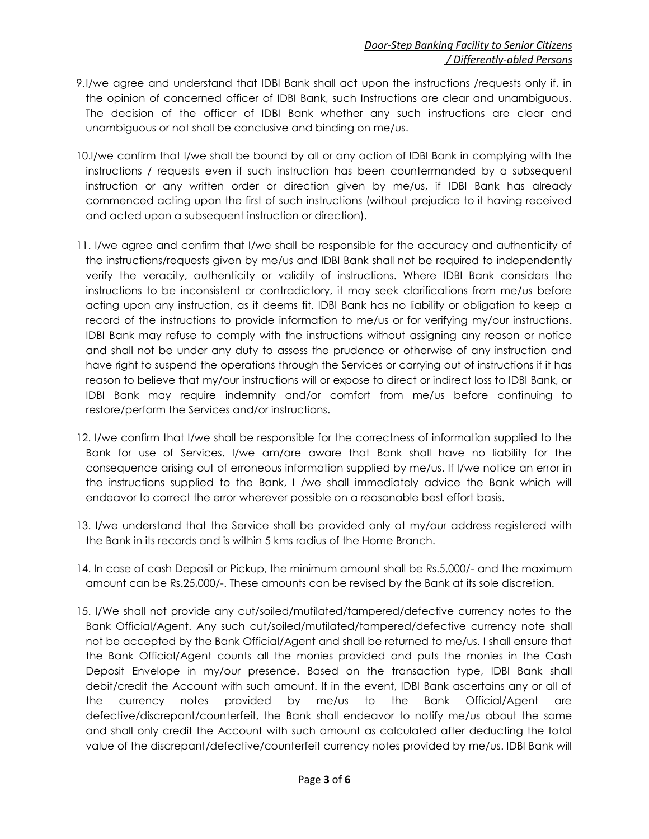- 9.I/we agree and understand that IDBI Bank shall act upon the instructions /requests only if, in the opinion of concerned officer of IDBI Bank, such Instructions are clear and unambiguous. The decision of the officer of IDBI Bank whether any such instructions are clear and unambiguous or not shall be conclusive and binding on me/us.
- 10.I/we confirm that I/we shall be bound by all or any action of IDBI Bank in complying with the instructions / requests even if such instruction has been countermanded by a subsequent instruction or any written order or direction given by me/us, if IDBI Bank has already commenced acting upon the first of such instructions (without prejudice to it having received and acted upon a subsequent instruction or direction).
- 11. I/we agree and confirm that I/we shall be responsible for the accuracy and authenticity of the instructions/requests given by me/us and IDBI Bank shall not be required to independently verify the veracity, authenticity or validity of instructions. Where IDBI Bank considers the instructions to be inconsistent or contradictory, it may seek clarifications from me/us before acting upon any instruction, as it deems fit. IDBI Bank has no liability or obligation to keep a record of the instructions to provide information to me/us or for verifying my/our instructions. IDBI Bank may refuse to comply with the instructions without assigning any reason or notice and shall not be under any duty to assess the prudence or otherwise of any instruction and have right to suspend the operations through the Services or carrying out of instructions if it has reason to believe that my/our instructions will or expose to direct or indirect loss to IDBI Bank, or IDBI Bank may require indemnity and/or comfort from me/us before continuing to restore/perform the Services and/or instructions.
- 12. I/we confirm that I/we shall be responsible for the correctness of information supplied to the Bank for use of Services. I/we am/are aware that Bank shall have no liability for the consequence arising out of erroneous information supplied by me/us. If I/we notice an error in the instructions supplied to the Bank, I /we shall immediately advice the Bank which will endeavor to correct the error wherever possible on a reasonable best effort basis.
- 13. I/we understand that the Service shall be provided only at my/our address registered with the Bank in its records and is within 5 kms radius of the Home Branch.
- 14. In case of cash Deposit or Pickup, the minimum amount shall be Rs.5,000/- and the maximum amount can be Rs.25,000/-. These amounts can be revised by the Bank at its sole discretion.
- 15. I/We shall not provide any cut/soiled/mutilated/tampered/defective currency notes to the Bank Official/Agent. Any such cut/soiled/mutilated/tampered/defective currency note shall not be accepted by the Bank Official/Agent and shall be returned to me/us. I shall ensure that the Bank Official/Agent counts all the monies provided and puts the monies in the Cash Deposit Envelope in my/our presence. Based on the transaction type, IDBI Bank shall debit/credit the Account with such amount. If in the event, IDBI Bank ascertains any or all of the currency notes provided by me/us to the Bank Official/Agent are defective/discrepant/counterfeit, the Bank shall endeavor to notify me/us about the same and shall only credit the Account with such amount as calculated after deducting the total value of the discrepant/defective/counterfeit currency notes provided by me/us. IDBI Bank will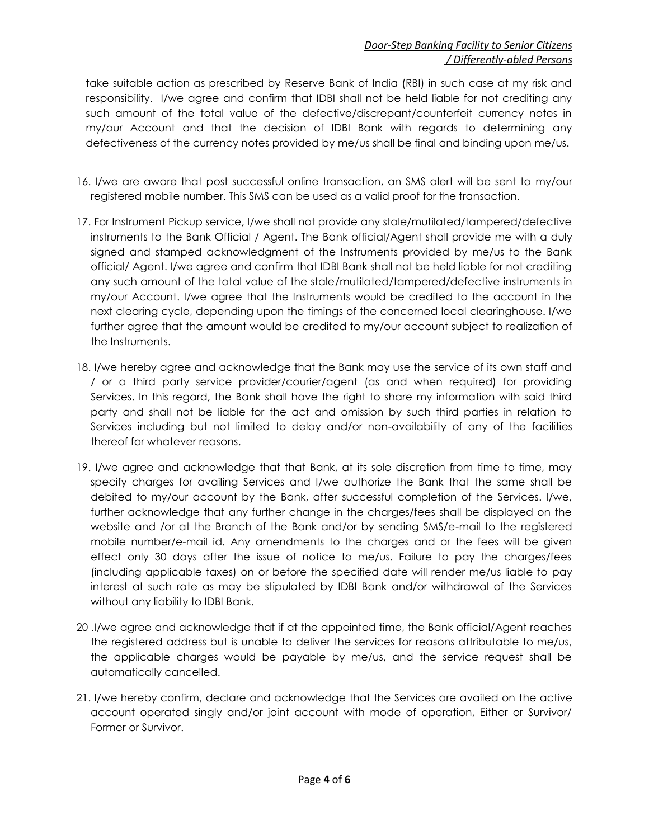## *Door-Step Banking Facility to Senior Citizens / Differently-abled Persons*

take suitable action as prescribed by Reserve Bank of India (RBI) in such case at my risk and responsibility. I/we agree and confirm that IDBI shall not be held liable for not crediting any such amount of the total value of the defective/discrepant/counterfeit currency notes in my/our Account and that the decision of IDBI Bank with regards to determining any defectiveness of the currency notes provided by me/us shall be final and binding upon me/us.

- 16. I/we are aware that post successful online transaction, an SMS alert will be sent to my/our registered mobile number. This SMS can be used as a valid proof for the transaction.
- 17. For Instrument Pickup service, I/we shall not provide any stale/mutilated/tampered/defective instruments to the Bank Official / Agent. The Bank official/Agent shall provide me with a duly signed and stamped acknowledgment of the Instruments provided by me/us to the Bank official/ Agent. I/we agree and confirm that IDBI Bank shall not be held liable for not crediting any such amount of the total value of the stale/mutilated/tampered/defective instruments in my/our Account. I/we agree that the Instruments would be credited to the account in the next clearing cycle, depending upon the timings of the concerned local clearinghouse. I/we further agree that the amount would be credited to my/our account subject to realization of the Instruments.
- 18. I/we hereby agree and acknowledge that the Bank may use the service of its own staff and / or a third party service provider/courier/agent (as and when required) for providing Services. In this regard, the Bank shall have the right to share my information with said third party and shall not be liable for the act and omission by such third parties in relation to Services including but not limited to delay and/or non-availability of any of the facilities thereof for whatever reasons.
- 19. I/we agree and acknowledge that that Bank, at its sole discretion from time to time, may specify charges for availing Services and I/we authorize the Bank that the same shall be debited to my/our account by the Bank, after successful completion of the Services. I/we, further acknowledge that any further change in the charges/fees shall be displayed on the website and /or at the Branch of the Bank and/or by sending SMS/e-mail to the registered mobile number/e-mail id. Any amendments to the charges and or the fees will be given effect only 30 days after the issue of notice to me/us. Failure to pay the charges/fees (including applicable taxes) on or before the specified date will render me/us liable to pay interest at such rate as may be stipulated by IDBI Bank and/or withdrawal of the Services without any liability to IDBI Bank.
- 20 .I/we agree and acknowledge that if at the appointed time, the Bank official/Agent reaches the registered address but is unable to deliver the services for reasons attributable to me/us, the applicable charges would be payable by me/us, and the service request shall be automatically cancelled.
- 21. I/we hereby confirm, declare and acknowledge that the Services are availed on the active account operated singly and/or joint account with mode of operation, Either or Survivor/ Former or Survivor.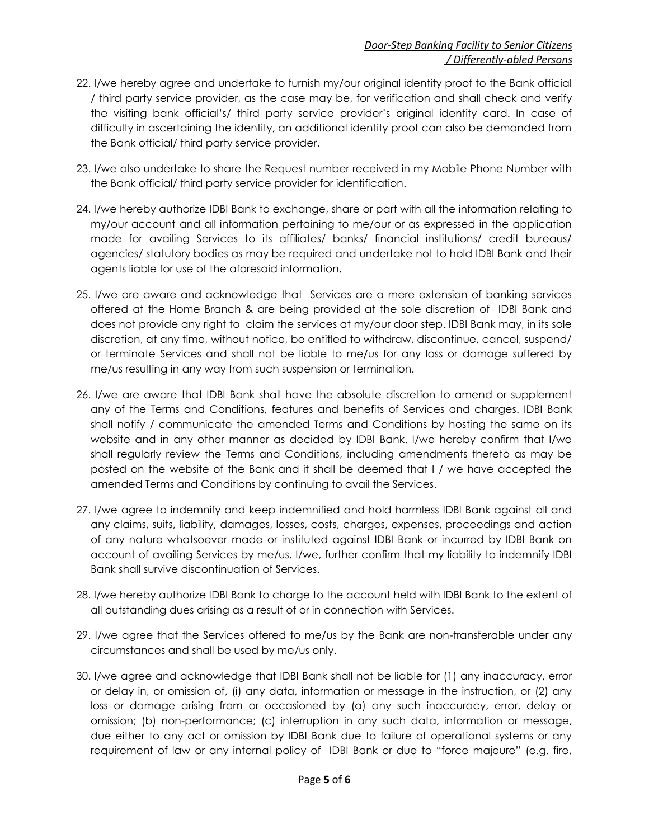### *Door-Step Banking Facility to Senior Citizens / Differently-abled Persons*

- 22. I/we hereby agree and undertake to furnish my/our original identity proof to the Bank official / third party service provider, as the case may be, for verification and shall check and verify the visiting bank official's/ third party service provider's original identity card. In case of difficulty in ascertaining the identity, an additional identity proof can also be demanded from the Bank official/ third party service provider.
- 23. I/we also undertake to share the Request number received in my Mobile Phone Number with the Bank official/ third party service provider for identification.
- 24. I/we hereby authorize IDBI Bank to exchange, share or part with all the information relating to my/our account and all information pertaining to me/our or as expressed in the application made for availing Services to its affiliates/ banks/ financial institutions/ credit bureaus/ agencies/ statutory bodies as may be required and undertake not to hold IDBI Bank and their agents liable for use of the aforesaid information.
- 25. I/we are aware and acknowledge that Services are a mere extension of banking services offered at the Home Branch & are being provided at the sole discretion of IDBI Bank and does not provide any right to claim the services at my/our door step. IDBI Bank may, in its sole discretion, at any time, without notice, be entitled to withdraw, discontinue, cancel, suspend/ or terminate Services and shall not be liable to me/us for any loss or damage suffered by me/us resulting in any way from such suspension or termination.
- 26. I/we are aware that IDBI Bank shall have the absolute discretion to amend or supplement any of the Terms and Conditions, features and benefits of Services and charges. IDBI Bank shall notify / communicate the amended Terms and Conditions by hosting the same on its website and in any other manner as decided by IDBI Bank. I/we hereby confirm that I/we shall regularly review the Terms and Conditions, including amendments thereto as may be posted on the website of the Bank and it shall be deemed that I / we have accepted the amended Terms and Conditions by continuing to avail the Services.
- 27. I/we agree to indemnify and keep indemnified and hold harmless IDBI Bank against all and any claims, suits, liability, damages, losses, costs, charges, expenses, proceedings and action of any nature whatsoever made or instituted against IDBI Bank or incurred by IDBI Bank on account of availing Services by me/us. I/we, further confirm that my liability to indemnify IDBI Bank shall survive discontinuation of Services.
- 28. I/we hereby authorize IDBI Bank to charge to the account held with IDBI Bank to the extent of all outstanding dues arising as a result of or in connection with Services.
- 29. I/we agree that the Services offered to me/us by the Bank are non-transferable under any circumstances and shall be used by me/us only.
- 30. I/we agree and acknowledge that IDBI Bank shall not be liable for (1) any inaccuracy, error or delay in, or omission of, (i) any data, information or message in the instruction, or (2) any loss or damage arising from or occasioned by (a) any such inaccuracy, error, delay or omission; (b) non-performance; (c) interruption in any such data, information or message, due either to any act or omission by IDBI Bank due to failure of operational systems or any requirement of law or any internal policy of IDBI Bank or due to "force majeure" (e.g. fire,